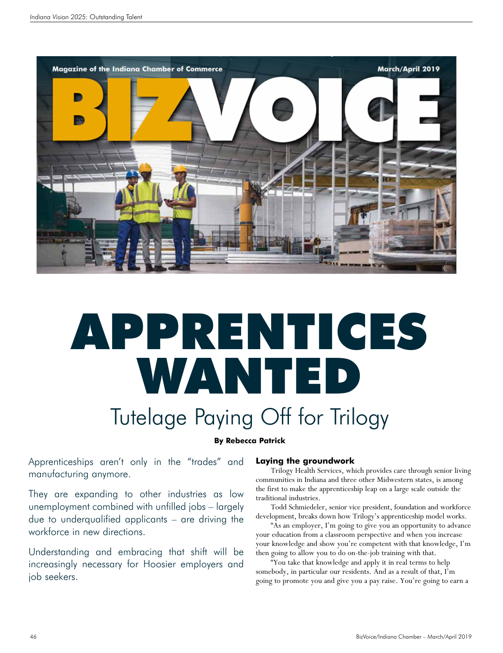

# APPRENTICES WANTED Tutelage Paying Off for Trilogy

# **By Rebecca Patrick**

Apprenticeships aren't only in the "trades" and manufacturing anymore.

They are expanding to other industries as low unemployment combined with unfilled jobs – largely due to underqualified applicants – are driving the workforce in new directions.

Understanding and embracing that shift will be increasingly necessary for Hoosier employers and job seekers.

### **Laying the groundwork**

Trilogy Health Services, which provides care through senior living communities in Indiana and three other Midwestern states, is among the first to make the apprenticeship leap on a large scale outside the traditional industries.

Todd Schmiedeler, senior vice president, foundation and workforce development, breaks down how Trilogy's apprenticeship model works.

"As an employer, I'm going to give you an opportunity to advance your education from a classroom perspective and when you increase your knowledge and show you're competent with that knowledge, I'm then going to allow you to do on-the-job training with that.

"You take that knowledge and apply it in real terms to help somebody, in particular our residents. And as a result of that, I'm going to promote you and give you a pay raise. You're going to earn a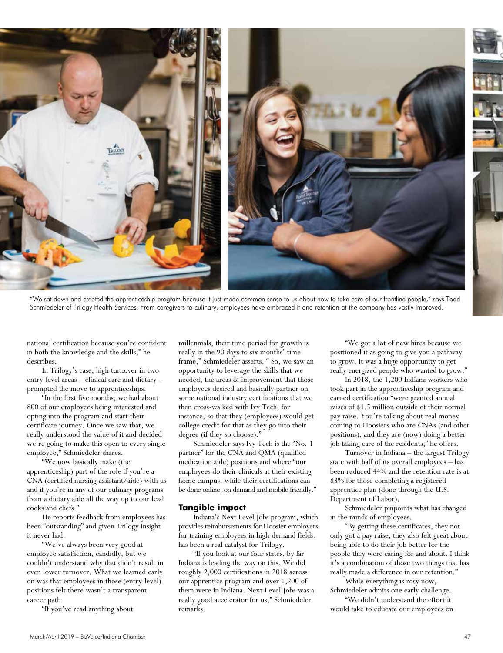

"We sat down and created the apprenticeship program because it just made common sense to us about how to take care of our frontline people," says Todd Schmiedeler of Trilogy Health Services. From caregivers to culinary, employees have embraced it and retention at the company has vastly improved.

national certification because you're confident in both the knowledge and the skills," he describes.

In Trilogy's case, high turnover in two entry-level areas – clinical care and dietary – prompted the move to apprenticeships.

"In the first five months, we had about 800 of our employees being interested and opting into the program and start their certificate journey. Once we saw that, we really understood the value of it and decided we're going to make this open to every single employee," Schmiedeler shares.

"We now basically make (the apprenticeship) part of the role if you're a CNA (certified nursing assistant/aide) with us and if you're in any of our culinary programs from a dietary aide all the way up to our lead cooks and chefs."

He reports feedback from employees has been "outstanding" and given Trilogy insight it never had.

"We've always been very good at employee satisfaction, candidly, but we couldn't understand why that didn't result in even lower turnover. What we learned early on was that employees in those (entry-level) positions felt there wasn't a transparent career path.

"If you've read anything about

millennials, their time period for growth is really in the 90 days to six months' time frame," Schmiedeler asserts. " So, we saw an opportunity to leverage the skills that we needed, the areas of improvement that those employees desired and basically partner on some national industry certifications that we then cross-walked with Ivy Tech, for instance, so that they (employees) would get college credit for that as they go into their degree (if they so choose)."

Schmiedeler says Ivy Tech is the "No. 1 partner" for the CNA and QMA (qualified medication aide) positions and where "our employees do their clinicals at their existing home campus, while their certifications can be done online, on demand and mobile friendly."

#### **Tangible impact**

Indiana's Next Level Jobs program, which provides reimbursements for Hoosier employers for training employees in high-demand fields, has been a real catalyst for Trilogy.

"If you look at our four states, by far Indiana is leading the way on this. We did roughly 2,000 certifications in 2018 across our apprentice program and over 1,200 of them were in Indiana. Next Level Jobs was a really good accelerator for us," Schmiedeler remarks.

"We got a lot of new hires because we positioned it as going to give you a pathway to grow. It was a huge opportunity to get really energized people who wanted to grow."

In 2018, the 1,200 Indiana workers who took part in the apprenticeship program and earned certification "were granted annual raises of \$1.5 million outside of their normal pay raise. You're talking about real money coming to Hoosiers who are CNAs (and other positions), and they are (now) doing a better job taking care of the residents," he offers.

Turnover in Indiana – the largest Trilogy state with half of its overall employees – has been reduced 44% and the retention rate is at 83% for those completing a registered apprentice plan (done through the U.S. Department of Labor).

Schmiedeler pinpoints what has changed in the minds of employees.

"By getting these certificates, they not only got a pay raise, they also felt great about being able to do their job better for the people they were caring for and about. I think it's a combination of those two things that has really made a difference in our retention."

While everything is rosy now, Schmiedeler admits one early challenge.

"We didn't understand the effort it would take to educate our employees on